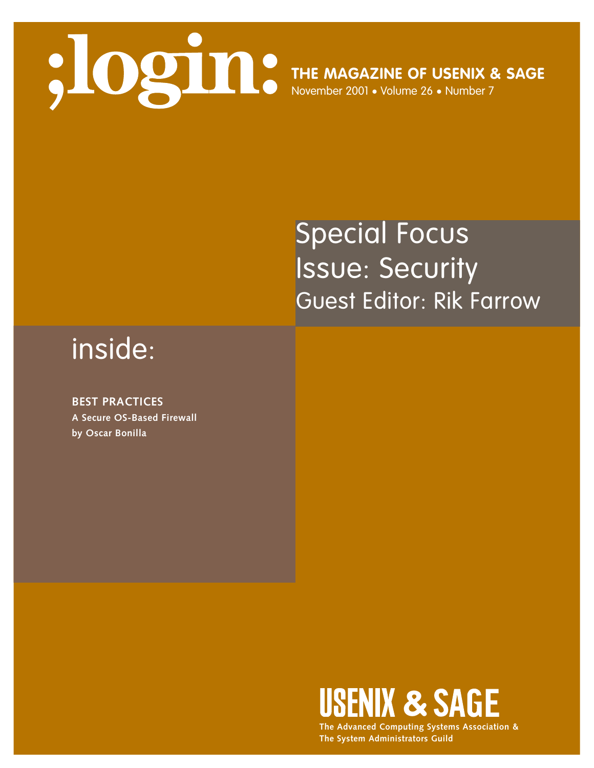

## Special Focus Issue: Security Guest Editor: Rik Farrow

## inside:

**BEST PRACTICES A Secure OS-Based Firewall by Oscar Bonilla**



**The Advanced Computing Systems Association & The System Administrators Guild**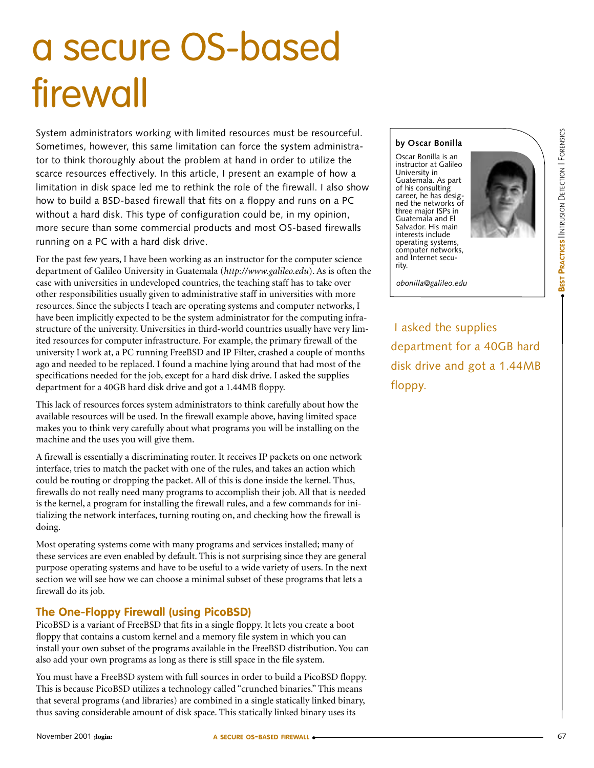# a secure OS-based firewall

System administrators working with limited resources must be resourceful. Sometimes, however, this same limitation can force the system administrator to think thoroughly about the problem at hand in order to utilize the scarce resources effectively. In this article, I present an example of how a limitation in disk space led me to rethink the role of the firewall. I also show how to build a BSD-based firewall that fits on a floppy and runs on a PC without a hard disk. This type of configuration could be, in my opinion, more secure than some commercial products and most OS-based firewalls running on a PC with a hard disk drive.

For the past few years, I have been working as an instructor for the computer science department of Galileo University in Guatemala (*<http://www.galileo.edu>*). As is often the case with universities in undeveloped countries, the teaching staff has to take over other responsibilities usually given to administrative staff in universities with more resources. Since the subjects I teach are operating systems and computer networks, I have been implicitly expected to be the system administrator for the computing infrastructure of the university. Universities in third-world countries usually have very limited resources for computer infrastructure. For example, the primary firewall of the university I work at, a PC running FreeBSD and IP Filter, crashed a couple of months ago and needed to be replaced. I found a machine lying around that had most of the specifications needed for the job, except for a hard disk drive. I asked the supplies department for a 40GB hard disk drive and got a 1.44MB floppy.

This lack of resources forces system administrators to think carefully about how the available resources will be used. In the firewall example above, having limited space makes you to think very carefully about what programs you will be installing on the machine and the uses you will give them.

A firewall is essentially a discriminating router. It receives IP packets on one network interface, tries to match the packet with one of the rules, and takes an action which could be routing or dropping the packet. All of this is done inside the kernel. Thus, firewalls do not really need many programs to accomplish their job. All that is needed is the kernel, a program for installing the firewall rules, and a few commands for initializing the network interfaces, turning routing on, and checking how the firewall is doing.

Most operating systems come with many programs and services installed; many of these services are even enabled by default. This is not surprising since they are general purpose operating systems and have to be useful to a wide variety of users. In the next section we will see how we can choose a minimal subset of these programs that lets a firewall do its job.

### **The One-Floppy Firewall (using PicoBSD)**

PicoBSD is a variant of FreeBSD that fits in a single floppy. It lets you create a boot floppy that contains a custom kernel and a memory file system in which you can install your own subset of the programs available in the FreeBSD distribution. You can also add your own programs as long as there is still space in the file system.

You must have a FreeBSD system with full sources in order to build a PicoBSD floppy. This is because PicoBSD utilizes a technology called "crunched binaries." This means that several programs (and libraries) are combined in a single statically linked binary, thus saving considerable amount of disk space. This statically linked binary uses its

#### **by Oscar Bonilla**

Oscar Bonilla is an instructor at Galileo University in Guatemala. As part of his consulting career, he has designed the networks of three major ISPs in Guatemala and El Salvador. His main interests include operating systems, computer networks, and Internet security.



*obonilla@galileo.edu*

I asked the supplies department for a 40GB hard disk drive and got a 1.44MB floppy.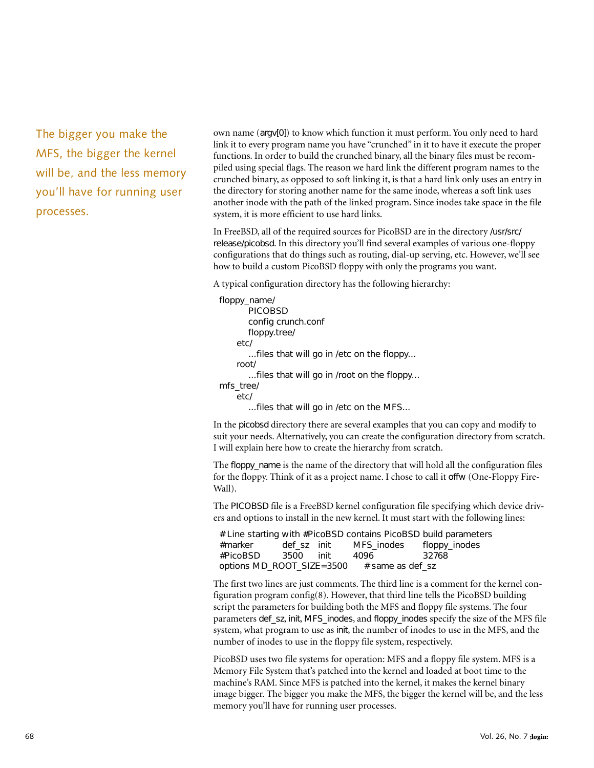The bigger you make the MFS, the bigger the kernel will be, and the less memory you'll have for running user processes.

own name (argv[0]) to know which function it must perform. You only need to hard link it to every program name you have "crunched" in it to have it execute the proper functions. In order to build the crunched binary, all the binary files must be recompiled using special flags. The reason we hard link the different program names to the crunched binary, as opposed to soft linking it, is that a hard link only uses an entry in the directory for storing another name for the same inode, whereas a soft link uses another inode with the path of the linked program. Since inodes take space in the file system, it is more efficient to use hard links.

In FreeBSD, all of the required sources for PicoBSD are in the directory /usr/src/ release/picobsd. In this directory you'll find several examples of various one-floppy configurations that do things such as routing, dial-up serving, etc. However, we'll see how to build a custom PicoBSD floppy with only the programs you want.

A typical configuration directory has the following hierarchy:

```
floppy_name/
       PICOBSD 
       config crunch.conf 
       floppy.tree/ 
    etc/ 
        ...files that will go in /etc on the floppy... 
    root/ 
        ...files that will go in /root on the floppy... 
mfs_tree/ 
    etc/ 
        ...files that will go in /etc on the MFS...
```
In the picobsd directory there are several examples that you can copy and modify to suit your needs. Alternatively, you can create the configuration directory from scratch. I will explain here how to create the hierarchy from scratch.

The floppy\_name is the name of the directory that will hold all the configuration files for the floppy. Think of it as a project name. I chose to call it offw (One-Floppy Fire-Wall).

The PICOBSD file is a FreeBSD kernel configuration file specifying which device drivers and options to install in the new kernel. It must start with the following lines:

# Line starting with #PicoBSD contains PicoBSD build parameters #marker def\_sz init MFS\_inodes floppy\_inodes #PicoBSD 3500 init 4096 32768 options MD\_ROOT\_SIZE=3500  $#$  same as def\_sz

The first two lines are just comments. The third line is a comment for the kernel configuration program config(8). However, that third line tells the PicoBSD building script the parameters for building both the MFS and floppy file systems. The four parameters def\_sz, init, MFS\_inodes, and floppy\_inodes specify the size of the MFS file system, what program to use as init, the number of inodes to use in the MFS, and the number of inodes to use in the floppy file system, respectively.

PicoBSD uses two file systems for operation: MFS and a floppy file system. MFS is a Memory File System that's patched into the kernel and loaded at boot time to the machine's RAM. Since MFS is patched into the kernel, it makes the kernel binary image bigger. The bigger you make the MFS, the bigger the kernel will be, and the less memory you'll have for running user processes.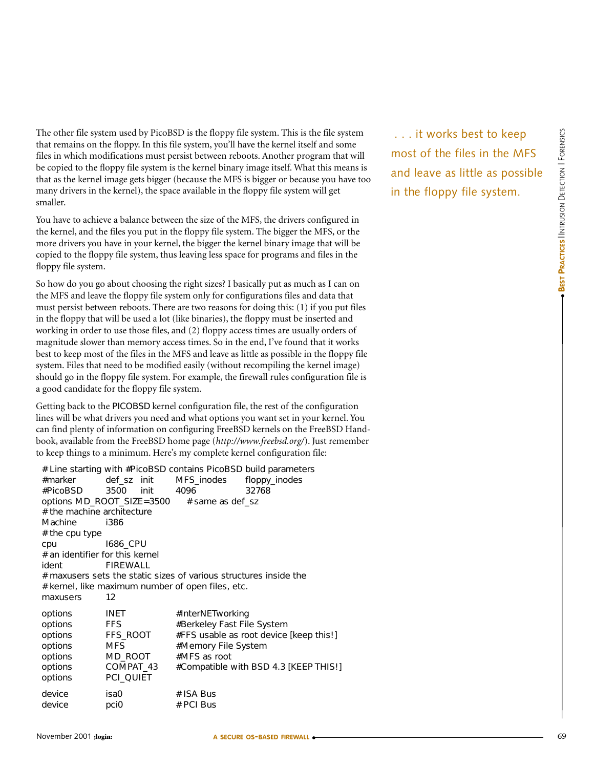The other file system used by PicoBSD is the floppy file system. This is the file system that remains on the floppy. In this file system, you'll have the kernel itself and some files in which modifications must persist between reboots. Another program that will be copied to the floppy file system is the kernel binary image itself. What this means is that as the kernel image gets bigger (because the MFS is bigger or because you have too many drivers in the kernel), the space available in the floppy file system will get smaller.

You have to achieve a balance between the size of the MFS, the drivers configured in the kernel, and the files you put in the floppy file system. The bigger the MFS, or the more drivers you have in your kernel, the bigger the kernel binary image that will be copied to the floppy file system, thus leaving less space for programs and files in the floppy file system.

So how do you go about choosing the right sizes? I basically put as much as I can on the MFS and leave the floppy file system only for configurations files and data that must persist between reboots. There are two reasons for doing this: (1) if you put files in the floppy that will be used a lot (like binaries), the floppy must be inserted and working in order to use those files, and (2) floppy access times are usually orders of magnitude slower than memory access times. So in the end, I've found that it works best to keep most of the files in the MFS and leave as little as possible in the floppy file system. Files that need to be modified easily (without recompiling the kernel image) should go in the floppy file system. For example, the firewall rules configuration file is a good candidate for the floppy file system.

Getting back to the PICOBSD kernel configuration file, the rest of the configuration lines will be what drivers you need and what options you want set in your kernel. You can find plenty of information on configuring FreeBSD kernels on the FreeBSD Handbook, available from the FreeBSD home page (*<http://www.freebsd.org/>*). Just remember to keep things to a minimum. Here's my complete kernel configuration file:

| #marker<br>#PicoBSD<br># the machine architecture<br>Machine<br># the cpu type | def_sz init<br>3500<br>init<br>options MD_ROOT_SIZE=3500 # same as def_sz<br>i386 | MFS_inodes floppy_inodes<br>4096 | # Line starting with #PicoBSD contains PicoBSD build parameters<br>32768 |  |
|--------------------------------------------------------------------------------|-----------------------------------------------------------------------------------|----------------------------------|--------------------------------------------------------------------------|--|
| cpu                                                                            | 1686_CPU                                                                          |                                  |                                                                          |  |
| # an identifier for this kernel<br>FIREWALL<br>ident                           |                                                                                   |                                  |                                                                          |  |
| # maxusers sets the static sizes of various structures inside the              |                                                                                   |                                  |                                                                          |  |
|                                                                                | # kernel, like maximum number of open files, etc.                                 |                                  |                                                                          |  |
| maxusers                                                                       | 12                                                                                |                                  |                                                                          |  |
| options                                                                        | INET                                                                              | #InterNETworking                 |                                                                          |  |
| options<br>options                                                             | <b>FFS</b><br>FFS_ROOT                                                            | #Berkeley Fast File System       | #FFS usable as root device [keep this!]                                  |  |
| options                                                                        | <b>MFS</b>                                                                        | #Memory File System              |                                                                          |  |
| options                                                                        | MD ROOT                                                                           | #MFS as root                     |                                                                          |  |
| options                                                                        | COMPAT_43                                                                         |                                  | #Compatible with BSD 4.3 [KEEP THIS!]                                    |  |
| options                                                                        | PCI_QUIET                                                                         |                                  |                                                                          |  |
| device                                                                         | isa0                                                                              | # ISA Bus                        |                                                                          |  |
| device                                                                         | pci0                                                                              | # PCI Bus                        |                                                                          |  |

. . . it works best to keep most of the files in the MFS and leave as little as possible in the floppy file system.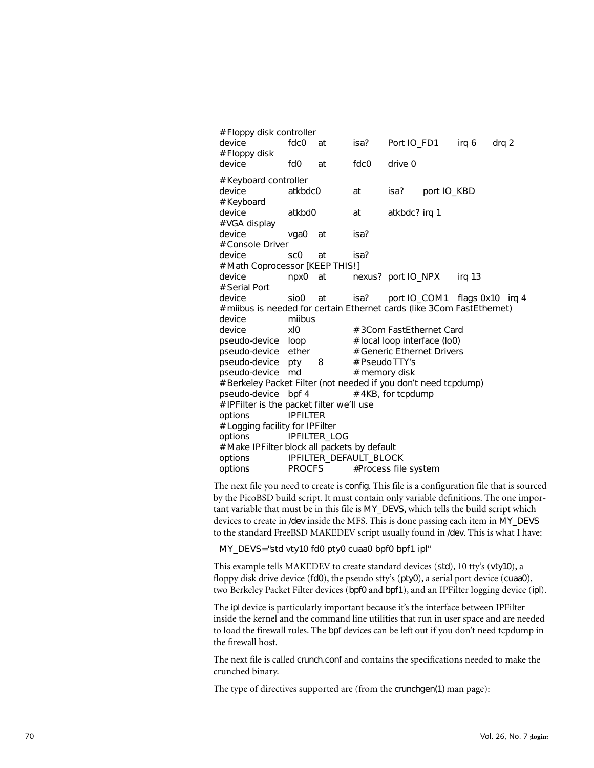| # Floppy disk controller                                               |                 |                                   |                |                              |                        |                                    |
|------------------------------------------------------------------------|-----------------|-----------------------------------|----------------|------------------------------|------------------------|------------------------------------|
| device<br># Floppy disk                                                | fdc0 at         |                                   |                |                              | isa? Port IO_FD1 irq 6 | drg 2                              |
| device                                                                 | fd0             | at                                | fdc0           | drive 0                      |                        |                                    |
| # Keyboard controller                                                  |                 |                                   |                |                              |                        |                                    |
| device                                                                 | atkbdc0         |                                   | at             | isa? port IO_KBD             |                        |                                    |
| # Keyboard                                                             |                 |                                   |                |                              |                        |                                    |
| device                                                                 | atkbd0          |                                   | at             | atkbdc? irq 1                |                        |                                    |
| # VGA display                                                          |                 |                                   |                |                              |                        |                                    |
| device                                                                 | vga0 at         |                                   | isa?           |                              |                        |                                    |
| # Console Driver                                                       |                 |                                   |                |                              |                        |                                    |
| device                                                                 | SC <sub>0</sub> | at                                | isa?           |                              |                        |                                    |
| # Math Coprocessor [KEEP THIS!]                                        |                 |                                   |                |                              |                        |                                    |
| device                                                                 |                 | npx0 at nexus? port IO_NPX irq 13 |                |                              |                        |                                    |
| # Serial Port                                                          |                 |                                   |                |                              |                        |                                    |
| device                                                                 | sio0            | at                                |                |                              |                        | isa? port IO_COM1 flags 0x10 irq 4 |
| # milbus is needed for certain Ethernet cards (like 3Com FastEthernet) |                 |                                   |                |                              |                        |                                    |
| device                                                                 | miibus          |                                   |                |                              |                        |                                    |
| device                                                                 | x 0             |                                   |                | # 3Com FastEthernet Card     |                        |                                    |
| pseudo-device loop                                                     |                 |                                   |                | # local loop interface (lo0) |                        |                                    |
| pseudo-device ether                                                    |                 |                                   |                | # Generic Ethernet Drivers   |                        |                                    |
| pseudo-device pty 8                                                    |                 |                                   | # Pseudo TTY's |                              |                        |                                    |
| pseudo-device md                                                       |                 |                                   | # memory disk  |                              |                        |                                    |
| # Berkeley Packet Filter (not needed if you don't need tcpdump)        |                 |                                   |                |                              |                        |                                    |
| pseudo-device                                                          | bpf 4           |                                   |                | # 4KB, for tcpdump           |                        |                                    |
| # IPFilter is the packet filter we'll use                              |                 |                                   |                |                              |                        |                                    |
| options                                                                | <b>IPFILTER</b> |                                   |                |                              |                        |                                    |
| # Logging facility for IPFilter                                        |                 |                                   |                |                              |                        |                                    |
| options                                                                |                 | IPFILTER_LOG                      |                |                              |                        |                                    |
| # Make IPFilter block all packets by default                           |                 |                                   |                |                              |                        |                                    |
| options                                                                |                 | IPFILTER_DEFAULT_BLOCK            |                |                              |                        |                                    |
| options                                                                |                 | PROCFS                            |                | #Process file system         |                        |                                    |

The next file you need to create is config. This file is a configuration file that is sourced by the PicoBSD build script. It must contain only variable definitions. The one important variable that must be in this file is MY\_DEVS, which tells the build script which devices to create in /dev inside the MFS. This is done passing each item in MY\_DEVS to the standard FreeBSD MAKEDEV script usually found in /dev. This is what I have:

MY\_DEVS="std vty10 fd0 pty0 cuaa0 bpf0 bpf1 ipl"

This example tells MAKEDEV to create standard devices (std), 10 tty's (vty10), a floppy disk drive device (fd0), the pseudo stty's (pty0), a serial port device (cuaa0), two Berkeley Packet Filter devices (bpf0 and bpf1), and an IPFilter logging device (ipl).

The ipl device is particularly important because it's the interface between IPFilter inside the kernel and the command line utilities that run in user space and are needed to load the firewall rules. The bpf devices can be left out if you don't need tcpdump in the firewall host.

The next file is called crunch.conf and contains the specifications needed to make the crunched binary.

The type of directives supported are (from the crunchgen(1) man page):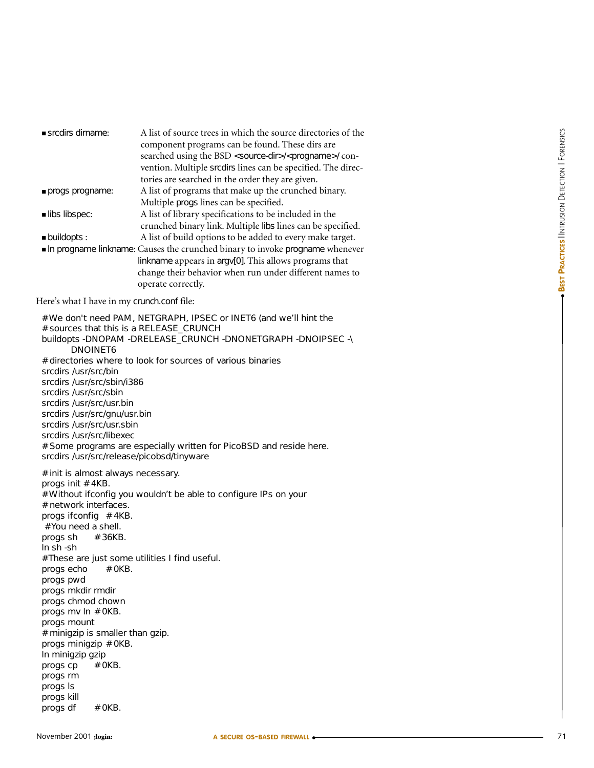| srcdirs dirname:                                                                                                                                                                                                                                                                                                                                                                                                                                          | A list of source trees in which the source directories of the<br>component programs can be found. These dirs are<br>searched using the BSD <source-dir>/<progname>/ con-<br/>vention. Multiple srcdirs lines can be specified. The direc-<br/>tories are searched in the order they are given.</progname></source-dir> |                                                       |
|-----------------------------------------------------------------------------------------------------------------------------------------------------------------------------------------------------------------------------------------------------------------------------------------------------------------------------------------------------------------------------------------------------------------------------------------------------------|------------------------------------------------------------------------------------------------------------------------------------------------------------------------------------------------------------------------------------------------------------------------------------------------------------------------|-------------------------------------------------------|
| progs progname:                                                                                                                                                                                                                                                                                                                                                                                                                                           | A list of programs that make up the crunched binary.<br>Multiple progs lines can be specified.                                                                                                                                                                                                                         |                                                       |
| libs libspec:                                                                                                                                                                                                                                                                                                                                                                                                                                             | A list of library specifications to be included in the<br>crunched binary link. Multiple libs lines can be specified.                                                                                                                                                                                                  |                                                       |
| · buildopts:                                                                                                                                                                                                                                                                                                                                                                                                                                              | A list of build options to be added to every make target.<br>In progname linkname: Causes the crunched binary to invoke progname whenever<br>linkname appears in argv[0]. This allows programs that<br>change their behavior when run under different names to<br>operate correctly.                                   | <b>BEST PRACTICES INTRUSION DETECTION I FORENSICS</b> |
| Here's what I have in my crunch.conf file:                                                                                                                                                                                                                                                                                                                                                                                                                |                                                                                                                                                                                                                                                                                                                        |                                                       |
| DNOINET6<br>srcdirs /usr/src/bin<br>srcdirs /usr/src/sbin/i386<br>srcdirs /usr/src/sbin<br>srcdirs /usr/src/usr.bin<br>srcdirs /usr/src/gnu/usr.bin<br>srcdirs /usr/src/usr.sbin<br>srcdirs /usr/src/libexec<br>srcdirs /usr/src/release/picobsd/tinyware                                                                                                                                                                                                 | # We don't need PAM, NETGRAPH, IPSEC or INET6 (and we'll hint the<br># sources that this is a RELEASE_CRUNCH<br>buildopts -DNOPAM -DRELEASE_CRUNCH -DNONETGRAPH -DNOIPSEC -\<br># directories where to look for sources of various binaries<br># Some programs are especially written for PicoBSD and reside here.     |                                                       |
| # init is almost always necessary.<br>progs init #4KB.<br># network interfaces.<br>progs ifconfig #4KB.<br># You need a shell.<br># 36KB.<br>progs sh<br>In sh -sh<br># OKB.<br>progs echo<br>progs pwd<br>progs mkdir rmdir<br>progs chmod chown<br>progs mv In # 0KB.<br>progs mount<br># minigzip is smaller than gzip.<br>progs minigzip # 0KB.<br>In minigzip gzip<br>progs cp<br># OKB.<br>progs rm<br>progs Is<br>progs kill<br>progs df<br># OKB. | # Without ifconfig you wouldn't be able to configure IPs on your<br># These are just some utilities I find useful.                                                                                                                                                                                                     |                                                       |
| lovember 2001 ; login:                                                                                                                                                                                                                                                                                                                                                                                                                                    | A SECURE OS-BASED FIREWALL •                                                                                                                                                                                                                                                                                           | 71                                                    |

#### Here's what I have in my crunch.conf file: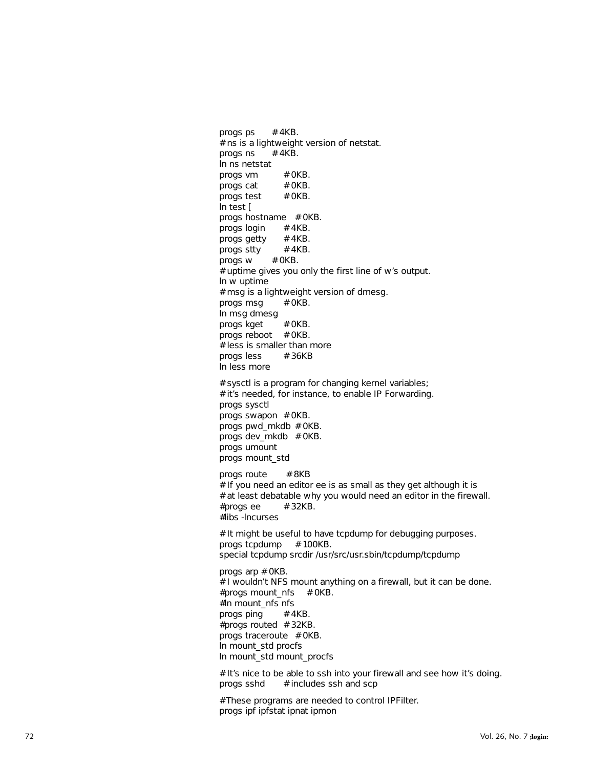progs ps  $# 4KB$ . # ns is a lightweight version of netstat. progs ns  $# 4KB$ . ln ns netstat progs vm  $# OKB$ . progs cat  $# OKB$ . progs test  $# OKB$ . ln test [ progs hostname # 0KB. progs login  $# 4KB$ . progs getty  $# 4KB$ . progs stty  $# 4KB$ . progs  $w$  # 0KB. # uptime gives you only the first line of w's output. ln w uptime # msg is a lightweight version of dmesg. progs msg  $# OKB$ . ln msg dmesg progs kget  $# OKB$ . progs reboot # OKB. # less is smaller than more progs less  $# 36KB$ ln less more # sysctl is a program for changing kernel variables; # it's needed, for instance, to enable IP Forwarding. progs sysctl progs swapon # 0KB. progs pwd\_mkdb # 0KB. progs dev\_mkdb # 0KB. progs umount progs mount\_std progs route # 8KB  $#$  If you need an editor ee is as small as they get although it is # at least debatable why you would need an editor in the firewall.  $#$ progs ee  $# 32KB$ . #libs -lncurses # It might be useful to have tcpdump for debugging purposes. progs tcpdump  $# 100KB$ . special tcpdump srcdir /usr/src/usr.sbin/tcpdump/tcpdump progs arp # 0KB. # I wouldn't NFS mount anything on a firewall, but it can be done.  $#$ progs mount\_nfs  $#$  OKB. #ln mount\_nfs nfs progs ping  $# 4KB$ . #progs routed # 32KB. progs traceroute # 0KB. ln mount\_std procfs ln mount\_std mount\_procfs # It's nice to be able to ssh into your firewall and see how it's doing. progs sshd  $#$  includes ssh and scp

# These programs are needed to control IPFilter. progs ipf ipfstat ipnat ipmon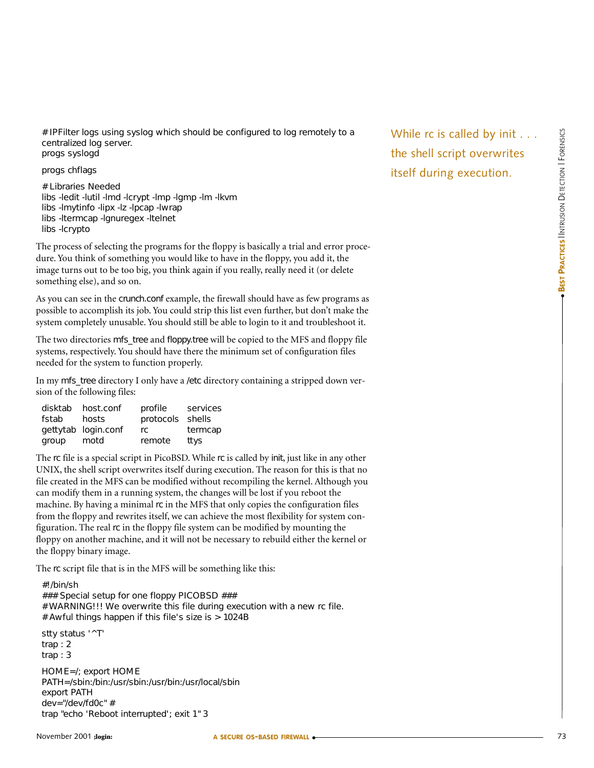the shell script overwrites

itself during execution.

# IPFilter logs using syslog which should be configured to log remotely to a centralized log server. progs syslogd

progs chflags

# Libraries Needed libs -ledit -lutil -lmd -lcrypt -lmp -lgmp -lm -lkvm libs -lmytinfo -lipx -lz -lpcap -lwrap libs -ltermcap -lgnuregex -ltelnet libs -lcrypto

The process of selecting the programs for the floppy is basically a trial and error procedure. You think of something you would like to have in the floppy, you add it, the image turns out to be too big, you think again if you really, really need it (or delete something else), and so on.

As you can see in the crunch.conf example, the firewall should have as few programs as possible to accomplish its job. You could strip this list even further, but don't make the system completely unusable. You should still be able to login to it and troubleshoot it.

The two directories mfs\_tree and floppy.tree will be copied to the MFS and floppy file systems, respectively. You should have there the minimum set of configuration files needed for the system to function properly.

In my mfs tree directory I only have a /etc directory containing a stripped down version of the following files:

| disktab | host.conf           | profile          | services |
|---------|---------------------|------------------|----------|
| fstab   | hosts               | protocols shells |          |
|         | gettytab login.conf | rc.              | termcap  |
| group   | motd                | remote           | ttys     |

The rc file is a special script in PicoBSD. While rc is called by init, just like in any other UNIX, the shell script overwrites itself during execution. The reason for this is that no file created in the MFS can be modified without recompiling the kernel. Although you can modify them in a running system, the changes will be lost if you reboot the machine. By having a minimal rc in the MFS that only copies the configuration files from the floppy and rewrites itself, we can achieve the most flexibility for system configuration. The real rc in the floppy file system can be modified by mounting the floppy on another machine, and it will not be necessary to rebuild either the kernel or the floppy binary image.

The rc script file that is in the MFS will be something like this:

#!/bin/sh ### Special setup for one floppy PICOBSD ### # WARNING!!! We overwrite this file during execution with a new rc file. # Awful things happen if this file's size is > 1024B stty status '^T' trap : 2 trap : 3 HOME=/; export HOME PATH=/sbin:/bin:/usr/sbin:/usr/bin:/usr/local/sbin export PATH dev="/dev/fd0c" # trap "echo 'Reboot interrupted'; exit 1" 3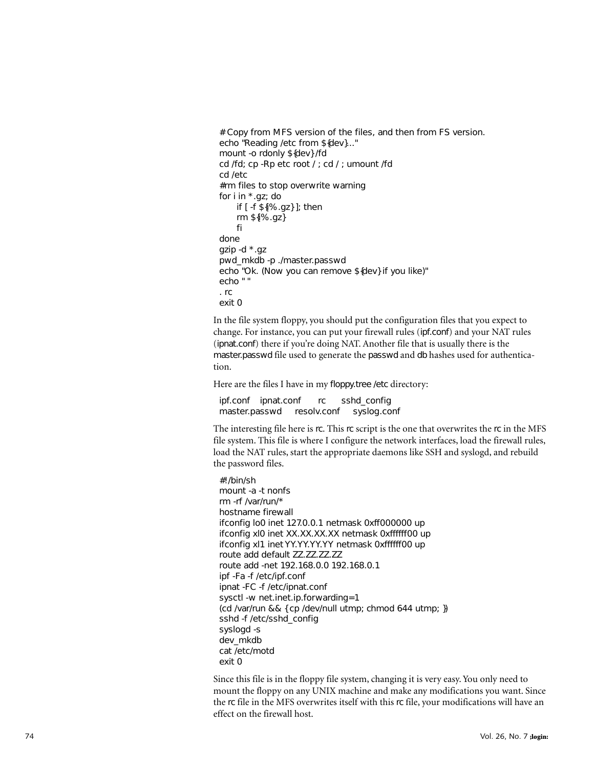```
# Copy from MFS version of the files, and then from FS version. 
echo "Reading /etc from ${dev}..." 
mount -o rdonly ${dev} /fd 
cd /fd; cp -Rp etc root / ; cd / ; umount /fd 
cd /etc 
#rm files to stop overwrite warning 
for i in *.gz; do 
    if [ -f ${i%.gz} ]; then 
    rm ${i%.gz} 
    fi 
done 
gzip -d *.gz 
pwd_mkdb -p ./master.passwd 
echo "Ok. (Now you can remove ${dev} if you like)" 
echo " " 
. rc 
exit 0
```
In the file system floppy, you should put the configuration files that you expect to change. For instance, you can put your firewall rules (ipf.conf) and your NAT rules (ipnat.conf) there if you're doing NAT. Another file that is usually there is the master.passwd file used to generate the passwd and db hashes used for authentication.

Here are the files I have in my floppy.tree /etc directory:

ipf.conf ipnat.conf rc sshd\_config master.passwd resolv.conf syslog.conf

The interesting file here is rc. This rc script is the one that overwrites the rc in the MFS file system. This file is where I configure the network interfaces, load the firewall rules, load the NAT rules, start the appropriate daemons like SSH and syslogd, and rebuild the password files.

#!/bin/sh mount -a -t nonfs rm -rf /var/run/\* hostname firewall ifconfig lo0 inet 127.0.0.1 netmask 0xff000000 up ifconfig xl0 inet XX.XX.XX.XX netmask 0xffffff00 up ifconfig xl1 inet YY.YY.YY.YY netmask 0xffffff00 up route add default ZZ.ZZ.ZZ.ZZ route add -net 192.168.0.0 192.168.0.1 ipf -Fa -f /etc/ipf.conf ipnat -FC -f /etc/ipnat.conf sysctl -w net.inet.ip.forwarding=1 (cd /var/run && { cp /dev/null utmp; chmod 644 utmp; }) sshd -f /etc/sshd\_config syslogd -s dev\_mkdb cat /etc/motd exit 0

Since this file is in the floppy file system, changing it is very easy. You only need to mount the floppy on any UNIX machine and make any modifications you want. Since the rc file in the MFS overwrites itself with this rc file, your modifications will have an effect on the firewall host.